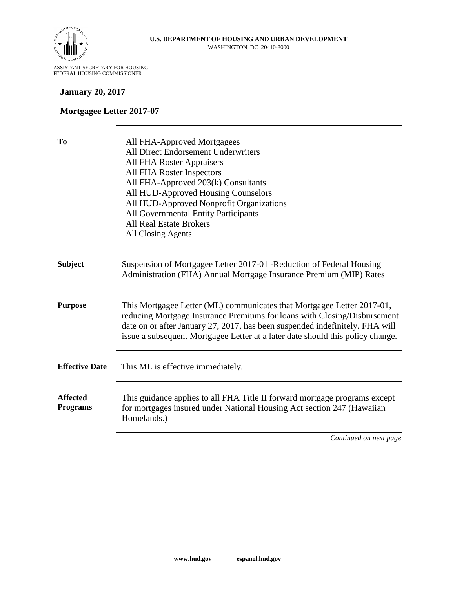

ASSISTANT SECRETARY FOR HOUSING-FEDERAL HOUSING COMMISSIONER

#### **January 20, 2017**

#### **Mortgagee Letter 2017-07**

| T <sub>0</sub>                     | All FHA-Approved Mortgagees<br><b>All Direct Endorsement Underwriters</b><br><b>All FHA Roster Appraisers</b><br>All FHA Roster Inspectors<br>All FHA-Approved 203(k) Consultants<br>All HUD-Approved Housing Counselors<br>All HUD-Approved Nonprofit Organizations<br>All Governmental Entity Participants<br><b>All Real Estate Brokers</b><br><b>All Closing Agents</b> |
|------------------------------------|-----------------------------------------------------------------------------------------------------------------------------------------------------------------------------------------------------------------------------------------------------------------------------------------------------------------------------------------------------------------------------|
| <b>Subject</b>                     | Suspension of Mortgagee Letter 2017-01 - Reduction of Federal Housing<br>Administration (FHA) Annual Mortgage Insurance Premium (MIP) Rates                                                                                                                                                                                                                                 |
| <b>Purpose</b>                     | This Mortgagee Letter (ML) communicates that Mortgagee Letter 2017-01,<br>reducing Mortgage Insurance Premiums for loans with Closing/Disbursement<br>date on or after January 27, 2017, has been suspended indefinitely. FHA will<br>issue a subsequent Mortgagee Letter at a later date should this policy change.                                                        |
| <b>Effective Date</b>              | This ML is effective immediately.                                                                                                                                                                                                                                                                                                                                           |
| <b>Affected</b><br><b>Programs</b> | This guidance applies to all FHA Title II forward mortgage programs except<br>for mortgages insured under National Housing Act section 247 (Hawaiian<br>Homelands.)                                                                                                                                                                                                         |
|                                    | Continued on next page                                                                                                                                                                                                                                                                                                                                                      |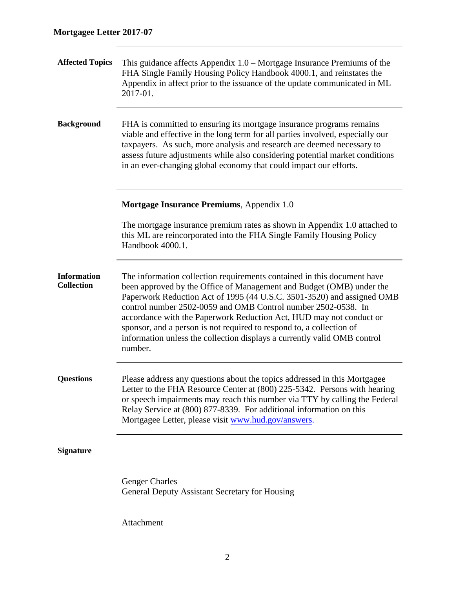| <b>Affected Topics</b>                  | This guidance affects Appendix $1.0$ – Mortgage Insurance Premiums of the<br>FHA Single Family Housing Policy Handbook 4000.1, and reinstates the<br>Appendix in affect prior to the issuance of the update communicated in ML<br>2017-01.                                                                                                                                                                                                                                                                                       |  |
|-----------------------------------------|----------------------------------------------------------------------------------------------------------------------------------------------------------------------------------------------------------------------------------------------------------------------------------------------------------------------------------------------------------------------------------------------------------------------------------------------------------------------------------------------------------------------------------|--|
| <b>Background</b>                       | FHA is committed to ensuring its mortgage insurance programs remains<br>viable and effective in the long term for all parties involved, especially our<br>taxpayers. As such, more analysis and research are deemed necessary to<br>assess future adjustments while also considering potential market conditions<br>in an ever-changing global economy that could impact our efforts.                                                                                                                                            |  |
|                                         | Mortgage Insurance Premiums, Appendix 1.0                                                                                                                                                                                                                                                                                                                                                                                                                                                                                        |  |
|                                         | The mortgage insurance premium rates as shown in Appendix 1.0 attached to<br>this ML are reincorporated into the FHA Single Family Housing Policy<br>Handbook 4000.1.                                                                                                                                                                                                                                                                                                                                                            |  |
| <b>Information</b><br><b>Collection</b> | The information collection requirements contained in this document have<br>been approved by the Office of Management and Budget (OMB) under the<br>Paperwork Reduction Act of 1995 (44 U.S.C. 3501-3520) and assigned OMB<br>control number 2502-0059 and OMB Control number 2502-0538. In<br>accordance with the Paperwork Reduction Act, HUD may not conduct or<br>sponsor, and a person is not required to respond to, a collection of<br>information unless the collection displays a currently valid OMB control<br>number. |  |
| <b>Questions</b>                        | Please address any questions about the topics addressed in this Mortgagee<br>Letter to the FHA Resource Center at (800) 225-5342. Persons with hearing<br>or speech impairments may reach this number via TTY by calling the Federal<br>Relay Service at (800) 877-8339. For additional information on this<br>Mortgagee Letter, please visit www.hud.gov/answers.                                                                                                                                                               |  |
| <b>Signature</b>                        |                                                                                                                                                                                                                                                                                                                                                                                                                                                                                                                                  |  |
|                                         | <b>Genger Charles</b><br><b>General Deputy Assistant Secretary for Housing</b>                                                                                                                                                                                                                                                                                                                                                                                                                                                   |  |

Attachment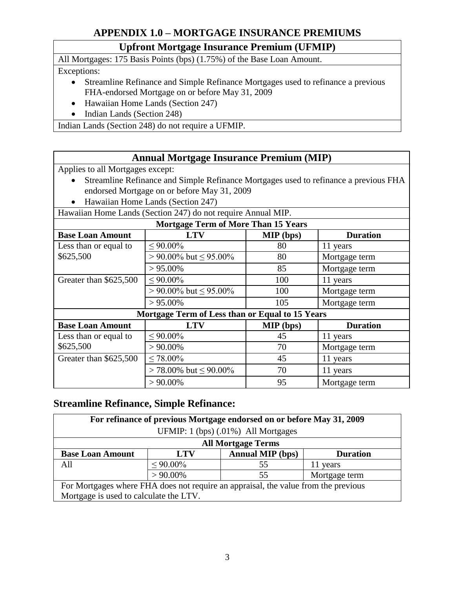# **APPENDIX 1.0 – MORTGAGE INSURANCE PREMIUMS**

# **Upfront Mortgage Insurance Premium (UFMIP)**

All Mortgages: 175 Basis Points (bps) (1.75%) of the Base Loan Amount.

Exceptions:

- Streamline Refinance and Simple Refinance Mortgages used to refinance a previous FHA-endorsed Mortgage on or before May 31, 2009
- Hawaiian Home Lands (Section 247)
- Indian Lands (Section 248)

Indian Lands (Section 248) do not require a UFMIP.

### **Annual Mortgage Insurance Premium (MIP)**

Applies to all Mortgages except:

- Streamline Refinance and Simple Refinance Mortgages used to refinance a previous FHA endorsed Mortgage on or before May 31, 2009
- Hawaiian Home Lands (Section 247)

Hawaiian Home Lands (Section 247) do not require Annual MIP.

| <b>Mortgage Term of More Than 15 Years</b>      |                                |                  |                 |  |  |  |  |  |
|-------------------------------------------------|--------------------------------|------------------|-----------------|--|--|--|--|--|
| <b>Base Loan Amount</b>                         | <b>LTV</b>                     | <b>MIP</b> (bps) | <b>Duration</b> |  |  |  |  |  |
| Less than or equal to                           | $\leq 90.00\%$                 | 80               | 11 years        |  |  |  |  |  |
| \$625,500                                       | $> 90.00\%$ but $\leq 95.00\%$ | 80               | Mortgage term   |  |  |  |  |  |
|                                                 | $> 95.00\%$                    | 85               | Mortgage term   |  |  |  |  |  |
| Greater than \$625,500                          | $\leq 90.00\%$                 | 100              | 11 years        |  |  |  |  |  |
|                                                 | $> 90.00\%$ but $\leq 95.00\%$ | 100              | Mortgage term   |  |  |  |  |  |
|                                                 | $> 95.00\%$                    | 105              | Mortgage term   |  |  |  |  |  |
| Mortgage Term of Less than or Equal to 15 Years |                                |                  |                 |  |  |  |  |  |
| <b>Base Loan Amount</b>                         | <b>LTV</b>                     | <b>MIP</b> (bps) | <b>Duration</b> |  |  |  |  |  |
| Less than or equal to                           | ${}< 90.00\%$                  | 45               | 11 years        |  |  |  |  |  |
| \$625,500                                       | $> 90.00\%$                    | 70               | Mortgage term   |  |  |  |  |  |
| Greater than \$625,500                          | $< 78.00\%$                    | 45               | 11 years        |  |  |  |  |  |
|                                                 | $> 78.00\%$ but $\leq 90.00\%$ | 70               | 11 years        |  |  |  |  |  |
|                                                 | $> 90.00\%$                    | 95               | Mortgage term   |  |  |  |  |  |

## **Streamline Refinance, Simple Refinance:**

| For refinance of previous Mortgage endorsed on or before May 31, 2009              |                |                         |                 |  |  |  |
|------------------------------------------------------------------------------------|----------------|-------------------------|-----------------|--|--|--|
| UFMIP: 1 (bps) (.01%) All Mortgages                                                |                |                         |                 |  |  |  |
| <b>All Mortgage Terms</b>                                                          |                |                         |                 |  |  |  |
| <b>Base Loan Amount</b>                                                            | <b>LTV</b>     | <b>Annual MIP</b> (bps) | <b>Duration</b> |  |  |  |
| All                                                                                | $\leq 90.00\%$ | 55                      | 11 years        |  |  |  |
|                                                                                    | $> 90.00\%$    | 55                      | Mortgage term   |  |  |  |
| For Mortgages where FHA does not require an appraisal, the value from the previous |                |                         |                 |  |  |  |
| Mortgage is used to calculate the LTV.                                             |                |                         |                 |  |  |  |